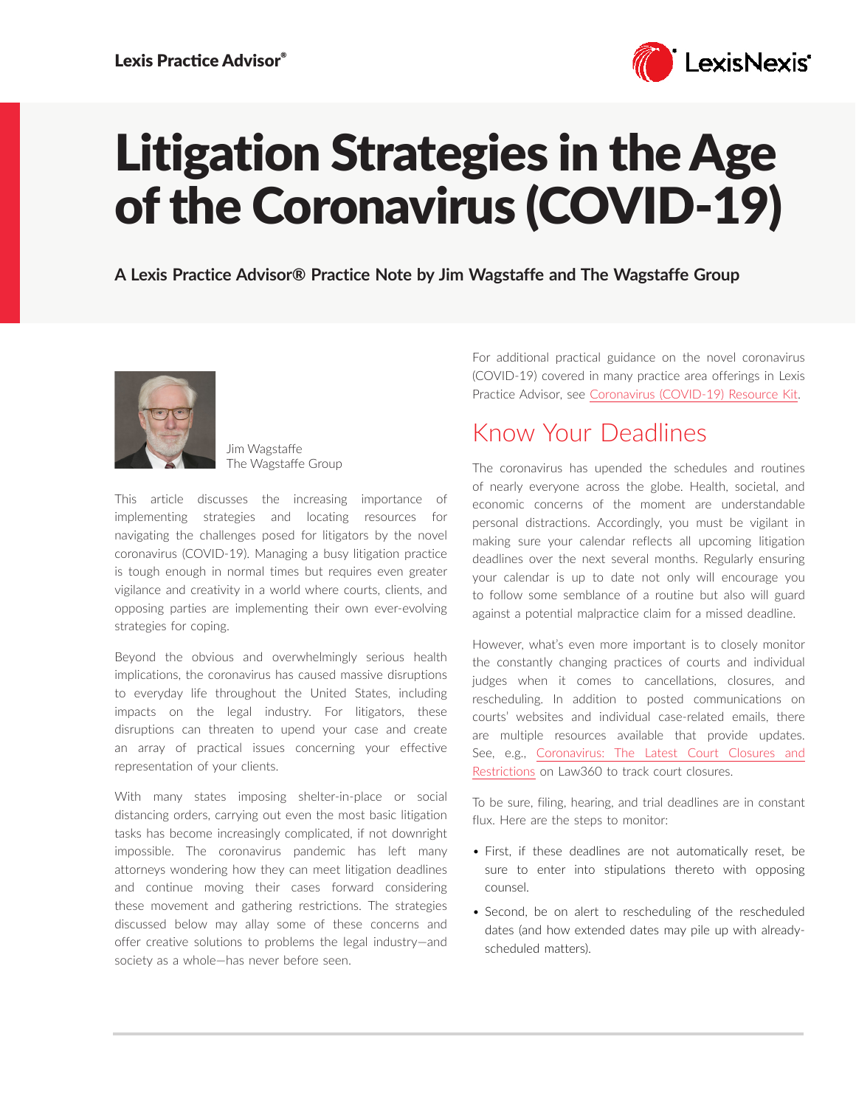

# Litigation Strategies in the Age of the Coronavirus (COVID-19)

**A Lexis Practice Advisor® Practice Note by Jim Wagstaffe and The Wagstaffe Group**



Jim Wagstaffe The Wagstaffe Group

This article discusses the increasing importance of implementing strategies and locating resources for navigating the challenges posed for litigators by the novel coronavirus (COVID-19). Managing a busy litigation practice is tough enough in normal times but requires even greater vigilance and creativity in a world where courts, clients, and opposing parties are implementing their own ever-evolving strategies for coping.

Beyond the obvious and overwhelmingly serious health implications, the coronavirus has caused massive disruptions to everyday life throughout the United States, including impacts on the legal industry. For litigators, these disruptions can threaten to upend your case and create an array of practical issues concerning your effective representation of your clients.

With many states imposing shelter-in-place or social distancing orders, carrying out even the most basic litigation tasks has become increasingly complicated, if not downright impossible. The coronavirus pandemic has left many attorneys wondering how they can meet litigation deadlines and continue moving their cases forward considering these movement and gathering restrictions. The strategies discussed below may allay some of these concerns and offer creative solutions to problems the legal industry—and society as a whole—has never before seen.

For additional practical guidance on the novel coronavirus (COVID-19) covered in many practice area offerings in Lexis Practice Advisor, see [Coronavirus \(COVID-19\) Resource Kit.](https://advance.lexis.com/open/document/lpadocument/?pdmfid=1000522&pddocfullpath=%2Fshared%2Fdocument%2Fanalytical-materials%2Furn%3AcontentItem%3A5YD8-0P11-F30T-B00R-00000-00&pdcontentcomponentid=502364&pdteaserkey=sr0&pditab=allpods&ecomp=1trg&earg=sr0)

## Know Your Deadlines

The coronavirus has upended the schedules and routines of nearly everyone across the globe. Health, societal, and economic concerns of the moment are understandable personal distractions. Accordingly, you must be vigilant in making sure your calendar reflects all upcoming litigation deadlines over the next several months. Regularly ensuring your calendar is up to date not only will encourage you to follow some semblance of a routine but also will guard against a potential malpractice claim for a missed deadline.

However, what's even more important is to closely monitor the constantly changing practices of courts and individual judges when it comes to cancellations, closures, and rescheduling. In addition to posted communications on courts' websites and individual case-related emails, there are multiple resources available that provide updates. See, e.g., [Coronavirus: The Latest Court Closures and](https://www.law360.com/articles/1252836)  [Restrictions](https://www.law360.com/articles/1252836) on Law360 to track court closures.

To be sure, filing, hearing, and trial deadlines are in constant flux. Here are the steps to monitor:

- First, if these deadlines are not automatically reset, be sure to enter into stipulations thereto with opposing counsel.
- Second, be on alert to rescheduling of the rescheduled dates (and how extended dates may pile up with alreadyscheduled matters).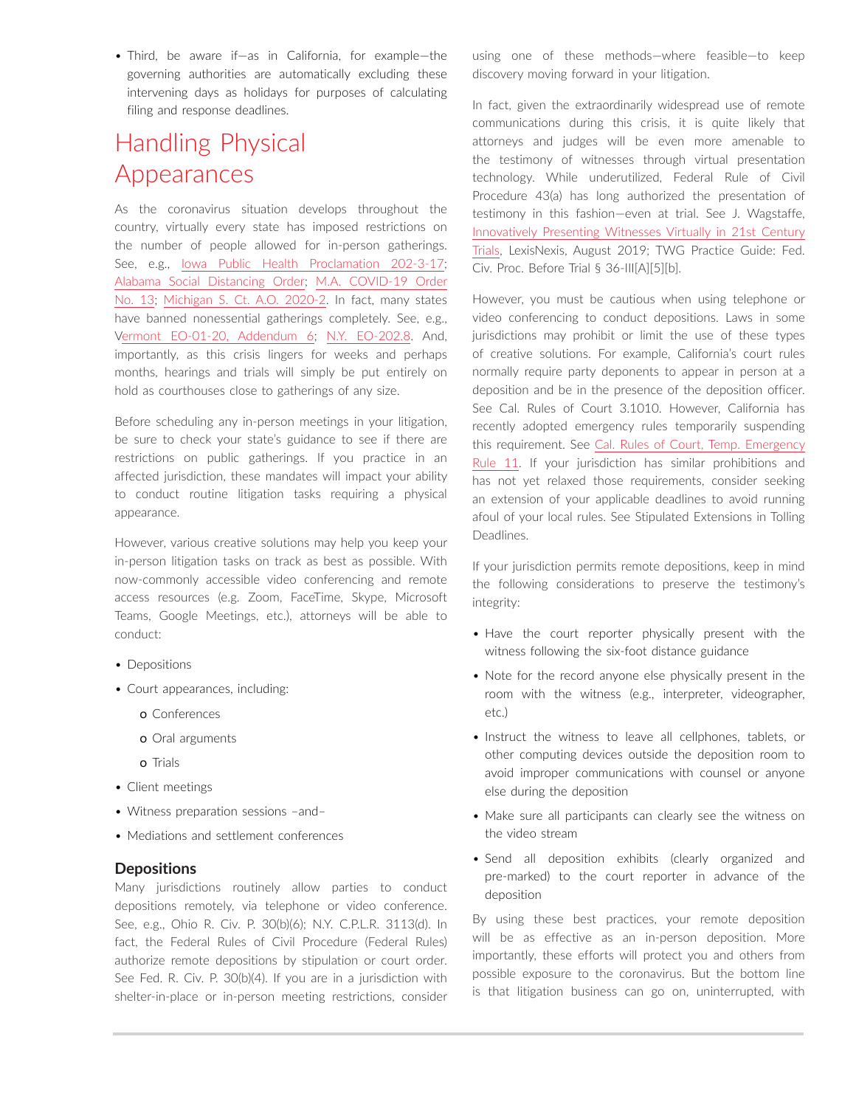• Third, be aware if—as in California, for example—the governing authorities are automatically excluding these intervening days as holidays for purposes of calculating filing and response deadlines.

## Handling Physical Appearances

As the coronavirus situation develops throughout the country, virtually every state has imposed restrictions on the number of people allowed for in-person gatherings. See, e.g., [Iowa Public Health Proclamation 202-3-17;](https://governor.iowa.gov/sites/default/files/documents/Public%20Health%20Proclamation%20-%202020.03.17.pdf) [Alabama Social Distancing Order](https://governor.alabama.gov/assets/2020/03/Alabama-State-Health-Officer-Statewide-Social-Distancing-Order-3.19.20.pdf); [M.A. COVID-19 Order](https://www.mass.gov/doc/march-23-2020-essential-services-and-revised-gatherings-order/download)  [No. 13](https://www.mass.gov/doc/march-23-2020-essential-services-and-revised-gatherings-order/download); [Michigan S. Ct. A.O. 2020-2](https://courts.michigan.gov/Courts/MichiganSupremeCourt/rules/court-rules-admin-matters/Administrative%20Orders/2020-08_2020-03-18_FormattedOrder_AO2020-2.pdf). In fact, many states have banned nonessential gatherings completely. See, e.g., [Vermont EO-01-20, Addendum 6;](https://governor.vermont.gov/sites/scott/files/documents/ADDENDUM%206%20TO%20EXECUTIVE%20ORDER%2001-20.pdf) [N.Y. EO-202.8.](https://www.governor.ny.gov/news/no-2028-continuing-temporary-suspension-and-modification-laws-relating-disaster-emergency) And, importantly, as this crisis lingers for weeks and perhaps months, hearings and trials will simply be put entirely on hold as courthouses close to gatherings of any size.

Before scheduling any in-person meetings in your litigation, be sure to check your state's guidance to see if there are restrictions on public gatherings. If you practice in an affected jurisdiction, these mandates will impact your ability to conduct routine litigation tasks requiring a physical appearance.

However, various creative solutions may help you keep your in-person litigation tasks on track as best as possible. With now-commonly accessible video conferencing and remote access resources (e.g. Zoom, FaceTime, Skype, Microsoft Teams, Google Meetings, etc.), attorneys will be able to conduct:

- Depositions
- Court appearances, including:
	- o Conferences
	- o Oral arguments
	- o Trials
- Client meetings
- Witness preparation sessions –and–
- Mediations and settlement conferences

### **Depositions**

Many jurisdictions routinely allow parties to conduct depositions remotely, via telephone or video conference. See, e.g., Ohio R. Civ. P. 30(b)(6); N.Y. C.P.L.R. 3113(d). In fact, the Federal Rules of Civil Procedure (Federal Rules) authorize remote depositions by stipulation or court order. See Fed. R. Civ. P. 30(b)(4). If you are in a jurisdiction with shelter-in-place or in-person meeting restrictions, consider using one of these methods—where feasible—to keep discovery moving forward in your litigation.

In fact, given the extraordinarily widespread use of remote communications during this crisis, it is quite likely that attorneys and judges will be even more amenable to the testimony of witnesses through virtual presentation technology. While underutilized, Federal Rule of Civil Procedure 43(a) has long authorized the presentation of testimony in this fashion—even at trial. See J. Wagstaffe, [Innovatively Presenting Witnesses Virtually in 21st Century](https://www.lexisnexis.com/pdf/wagstaffe/innovatively-presenting-witnesses-virtually-in-trials.pdf)  [Trials](https://www.lexisnexis.com/pdf/wagstaffe/innovatively-presenting-witnesses-virtually-in-trials.pdf), LexisNexis, August 2019; TWG Practice Guide: Fed. Civ. Proc. Before Trial § 36-III[A][5][b].

However, you must be cautious when using telephone or video conferencing to conduct depositions. Laws in some jurisdictions may prohibit or limit the use of these types of creative solutions. For example, California's court rules normally require party deponents to appear in person at a deposition and be in the presence of the deposition officer. See Cal. Rules of Court 3.1010. However, California has recently adopted emergency rules temporarily suspending this requirement. See [Cal. Rules of Court, Temp. Emergency](https://jcc.legistar.com/View.ashx?M=F&ID=8234474&GUID=79611543-6A40-465C-8B8B-D324F5CAE349)  [Rule 11](https://jcc.legistar.com/View.ashx?M=F&ID=8234474&GUID=79611543-6A40-465C-8B8B-D324F5CAE349). If your jurisdiction has similar prohibitions and has not yet relaxed those requirements, consider seeking an extension of your applicable deadlines to avoid running afoul of your local rules. See Stipulated Extensions in Tolling Deadlines.

If your jurisdiction permits remote depositions, keep in mind the following considerations to preserve the testimony's integrity:

- Have the court reporter physically present with the witness following the six-foot distance guidance
- Note for the record anyone else physically present in the room with the witness (e.g., interpreter, videographer, etc.)
- Instruct the witness to leave all cellphones, tablets, or other computing devices outside the deposition room to avoid improper communications with counsel or anyone else during the deposition
- Make sure all participants can clearly see the witness on the video stream
- Send all deposition exhibits (clearly organized and pre-marked) to the court reporter in advance of the deposition

By using these best practices, your remote deposition will be as effective as an in-person deposition. More importantly, these efforts will protect you and others from possible exposure to the coronavirus. But the bottom line is that litigation business can go on, uninterrupted, with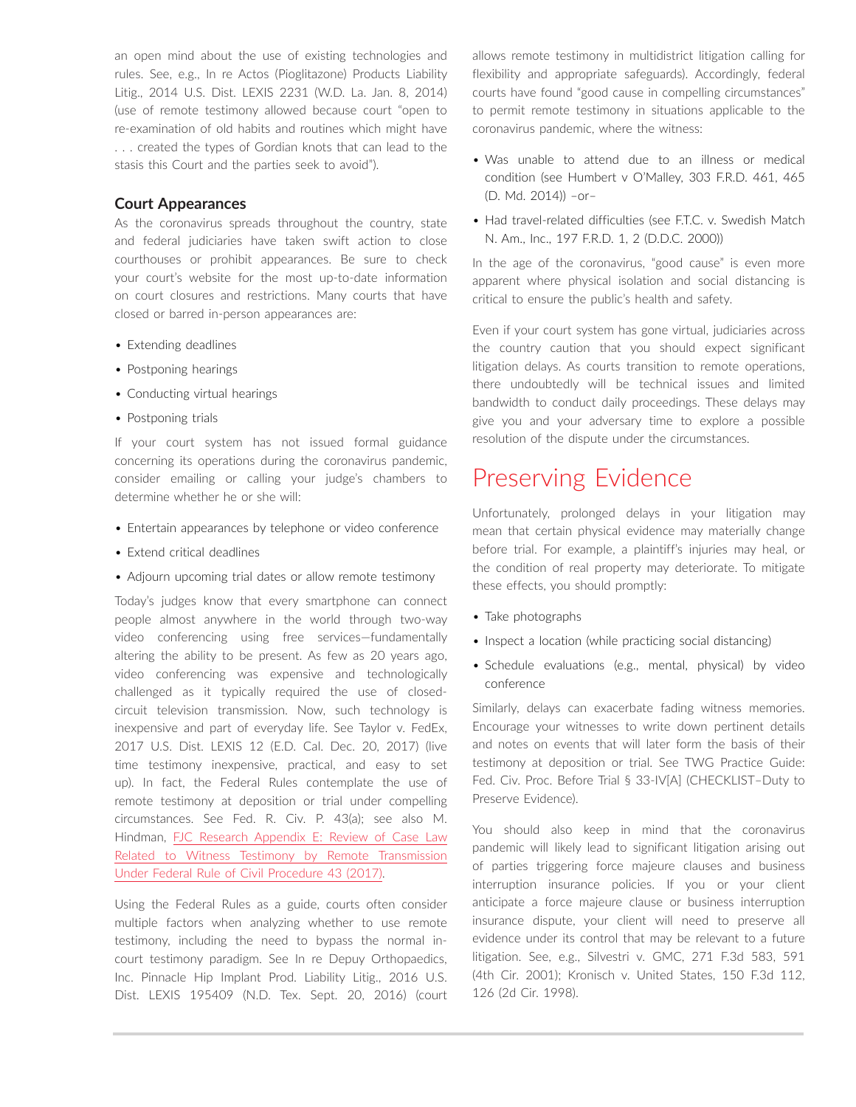an open mind about the use of existing technologies and rules. See, e.g., In re Actos (Pioglitazone) Products Liability Litig., 2014 U.S. Dist. LEXIS 2231 (W.D. La. Jan. 8, 2014) (use of remote testimony allowed because court "open to re-examination of old habits and routines which might have . . . created the types of Gordian knots that can lead to the stasis this Court and the parties seek to avoid").

#### **Court Appearances**

As the coronavirus spreads throughout the country, state and federal judiciaries have taken swift action to close courthouses or prohibit appearances. Be sure to check your court's website for the most up-to-date information on court closures and restrictions. Many courts that have closed or barred in-person appearances are:

- Extending deadlines
- Postponing hearings
- Conducting virtual hearings
- Postponing trials

If your court system has not issued formal guidance concerning its operations during the coronavirus pandemic, consider emailing or calling your judge's chambers to determine whether he or she will:

- Entertain appearances by telephone or video conference
- Extend critical deadlines
- Adjourn upcoming trial dates or allow remote testimony

Today's judges know that every smartphone can connect people almost anywhere in the world through two-way video conferencing using free services—fundamentally altering the ability to be present. As few as 20 years ago, video conferencing was expensive and technologically challenged as it typically required the use of closedcircuit television transmission. Now, such technology is inexpensive and part of everyday life. See Taylor v. FedEx, 2017 U.S. Dist. LEXIS 12 (E.D. Cal. Dec. 20, 2017) (live time testimony inexpensive, practical, and easy to set up). In fact, the Federal Rules contemplate the use of remote testimony at deposition or trial under compelling circumstances. See Fed. R. Civ. P. 43(a); see also M. Hindman, [FJC Research Appendix E: Review of Case Law](https://www.fjc.gov/sites/default/files/2017/Appendix_E_Remote_Participation_Bankr_0.pdf)  [Related to Witness Testimony by Remote Transmission](https://www.fjc.gov/sites/default/files/2017/Appendix_E_Remote_Participation_Bankr_0.pdf)  [Under Federal Rule of Civil Procedure 43 \(2017\)](https://www.fjc.gov/sites/default/files/2017/Appendix_E_Remote_Participation_Bankr_0.pdf).

Using the Federal Rules as a guide, courts often consider multiple factors when analyzing whether to use remote testimony, including the need to bypass the normal incourt testimony paradigm. See In re Depuy Orthopaedics, Inc. Pinnacle Hip Implant Prod. Liability Litig., 2016 U.S. Dist. LEXIS 195409 (N.D. Tex. Sept. 20, 2016) (court allows remote testimony in multidistrict litigation calling for flexibility and appropriate safeguards). Accordingly, federal courts have found "good cause in compelling circumstances" to permit remote testimony in situations applicable to the coronavirus pandemic, where the witness:

- Was unable to attend due to an illness or medical condition (see Humbert v O'Malley, 303 F.R.D. 461, 465 (D. Md. 2014)) –or–
- Had travel-related difficulties (see F.T.C. v. Swedish Match N. Am., Inc., 197 F.R.D. 1, 2 (D.D.C. 2000))

In the age of the coronavirus, "good cause" is even more apparent where physical isolation and social distancing is critical to ensure the public's health and safety.

Even if your court system has gone virtual, judiciaries across the country caution that you should expect significant litigation delays. As courts transition to remote operations, there undoubtedly will be technical issues and limited bandwidth to conduct daily proceedings. These delays may give you and your adversary time to explore a possible resolution of the dispute under the circumstances.

## Preserving Evidence

Unfortunately, prolonged delays in your litigation may mean that certain physical evidence may materially change before trial. For example, a plaintiff's injuries may heal, or the condition of real property may deteriorate. To mitigate these effects, you should promptly:

- Take photographs
- Inspect a location (while practicing social distancing)
- Schedule evaluations (e.g., mental, physical) by video conference

Similarly, delays can exacerbate fading witness memories. Encourage your witnesses to write down pertinent details and notes on events that will later form the basis of their testimony at deposition or trial. See TWG Practice Guide: Fed. Civ. Proc. Before Trial § 33-IV[A] (CHECKLIST–Duty to Preserve Evidence).

You should also keep in mind that the coronavirus pandemic will likely lead to significant litigation arising out of parties triggering force majeure clauses and business interruption insurance policies. If you or your client anticipate a force majeure clause or business interruption insurance dispute, your client will need to preserve all evidence under its control that may be relevant to a future litigation. See, e.g., Silvestri v. GMC, 271 F.3d 583, 591 (4th Cir. 2001); Kronisch v. United States, 150 F.3d 112, 126 (2d Cir. 1998).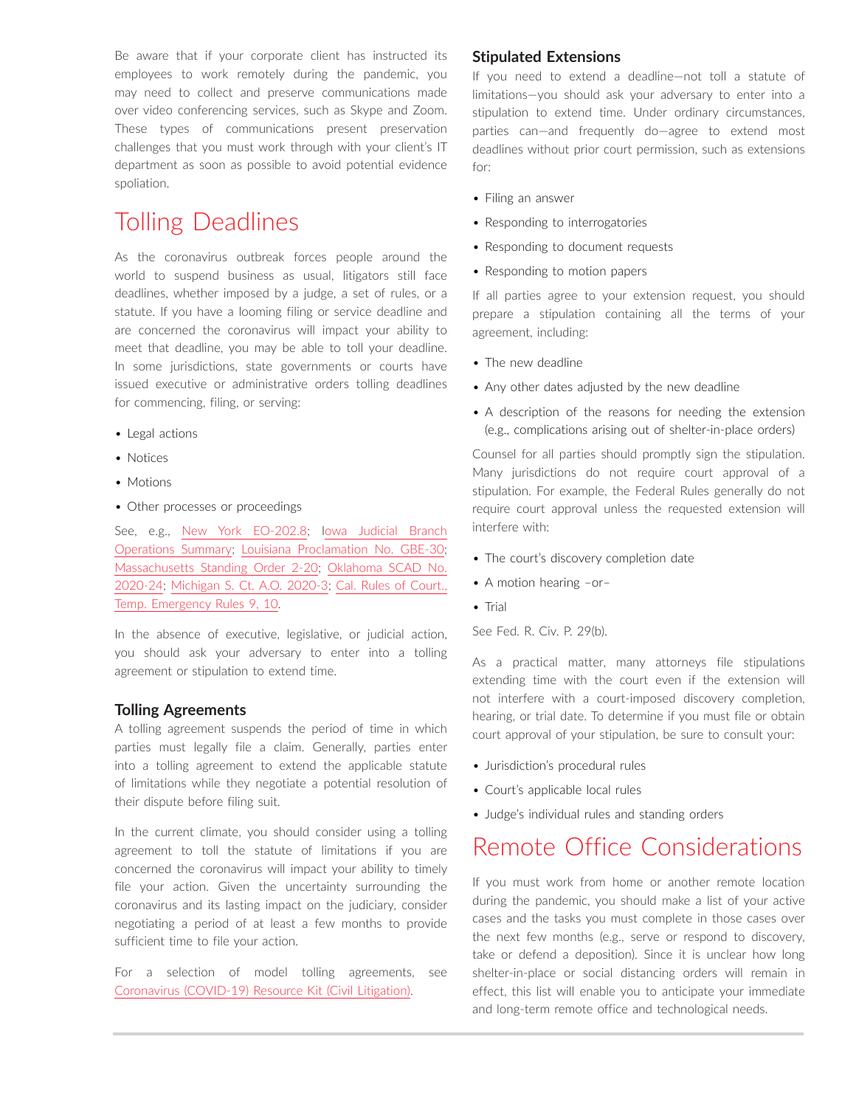Be aware that if your corporate client has instructed its employees to work remotely during the pandemic, you may need to collect and preserve communications made over video conferencing services, such as Skype and Zoom. These types of communications present preservation challenges that you must work through with your client's IT department as soon as possible to avoid potential evidence spoliation.

## Tolling Deadlines

As the coronavirus outbreak forces people around the world to suspend business as usual, litigators still face deadlines, whether imposed by a judge, a set of rules, or a statute. If you have a looming filing or service deadline and are concerned the coronavirus will impact your ability to meet that deadline, you may be able to toll your deadline. In some jurisdictions, state governments or courts have issued executive or administrative orders tolling deadlines for commencing, filing, or serving:

- Legal actions
- Notices
- Motions
- Other processes or proceedings

See, e.g., [New York EO-202.8;](https://www.governor.ny.gov/news/no-2028-continuing-temporary-suspension-and-modification-laws-relating-disaster-emergency) [Iowa Judicial Branch](https://www.iowacourts.gov/static/media/cms/Update_3_877C55DCF277E.pdf)  [Operations Summary;](https://www.iowacourts.gov/static/media/cms/Update_3_877C55DCF277E.pdf) [Louisiana Proclamation No. GBE-30;](https://www.gov.louisiana.gov/assets/Proclamations/2020/30-JBE-2020-Public-Health-Emergency-COVID-19-additional-measures.pdf) [Massachusetts Standing Order 2-20;](https://www.mass.gov/superior-court-rules/superior-court-standing-order-3-20-protocol-governing-superior-court) [Oklahoma SCAD No.](https://www.oscn.net/images/news/SCAD-2020-24.pdf)  [2020-24;](https://www.oscn.net/images/news/SCAD-2020-24.pdf) [Michigan S. Ct. A.O. 2020-3;](https://courts.michigan.gov/Courts/MichiganSupremeCourt/rules/court-rules-admin-matters/Administrative%20Orders/2020-08_2020-03-23_FormattedOrder_AO2020-3.pdf) [Cal. Rules of Court.,](https://jcc.legistar.com/View.ashx?M=F&ID=8234474&GUID=79611543-6A40-465C-8B8B-D324F5CAE349)  [Temp. Emergency Rules 9, 10.](https://jcc.legistar.com/View.ashx?M=F&ID=8234474&GUID=79611543-6A40-465C-8B8B-D324F5CAE349)

In the absence of executive, legislative, or judicial action, you should ask your adversary to enter into a tolling agreement or stipulation to extend time.

#### **Tolling Agreements**

A tolling agreement suspends the period of time in which parties must legally file a claim. Generally, parties enter into a tolling agreement to extend the applicable statute of limitations while they negotiate a potential resolution of their dispute before filing suit.

In the current climate, you should consider using a tolling agreement to toll the statute of limitations if you are concerned the coronavirus will impact your ability to timely file your action. Given the uncertainty surrounding the coronavirus and its lasting impact on the judiciary, consider negotiating a period of at least a few months to provide sufficient time to file your action.

For a selection of model tolling agreements, see [Coronavirus \(COVID-19\) Resource Kit \(Civil Litigation\).](https://advance.lexis.com/open/document/lpadocument/?pdmfid=1000522&pddocfullpath=%2Fshared%2Fdocument%2Fanalytical-materials%2Furn%3AcontentItem%3A5YG6-C021-F1H1-2203-00000-00&pdcontentcomponentid=231520&pdteaserkey=sr0&pditab=allpods&ecomp=1trg&earg=sr0)

#### **Stipulated Extensions**

If you need to extend a deadline—not toll a statute of limitations—you should ask your adversary to enter into a stipulation to extend time. Under ordinary circumstances, parties can—and frequently do—agree to extend most deadlines without prior court permission, such as extensions for:

- Filing an answer
- Responding to interrogatories
- Responding to document requests
- Responding to motion papers

If all parties agree to your extension request, you should prepare a stipulation containing all the terms of your agreement, including:

- The new deadline
- Any other dates adjusted by the new deadline
- A description of the reasons for needing the extension (e.g., complications arising out of shelter-in-place orders)

Counsel for all parties should promptly sign the stipulation. Many jurisdictions do not require court approval of a stipulation. For example, the Federal Rules generally do not require court approval unless the requested extension will interfere with:

- The court's discovery completion date
- A motion hearing –or–
- Trial
- See Fed. R. Civ. P. 29(b).

As a practical matter, many attorneys file stipulations extending time with the court even if the extension will not interfere with a court-imposed discovery completion, hearing, or trial date. To determine if you must file or obtain court approval of your stipulation, be sure to consult your:

- Jurisdiction's procedural rules
- Court's applicable local rules
- Judge's individual rules and standing orders

## Remote Office Considerations

If you must work from home or another remote location during the pandemic, you should make a list of your active cases and the tasks you must complete in those cases over the next few months (e.g., serve or respond to discovery, take or defend a deposition). Since it is unclear how long shelter-in-place or social distancing orders will remain in effect, this list will enable you to anticipate your immediate and long-term remote office and technological needs.